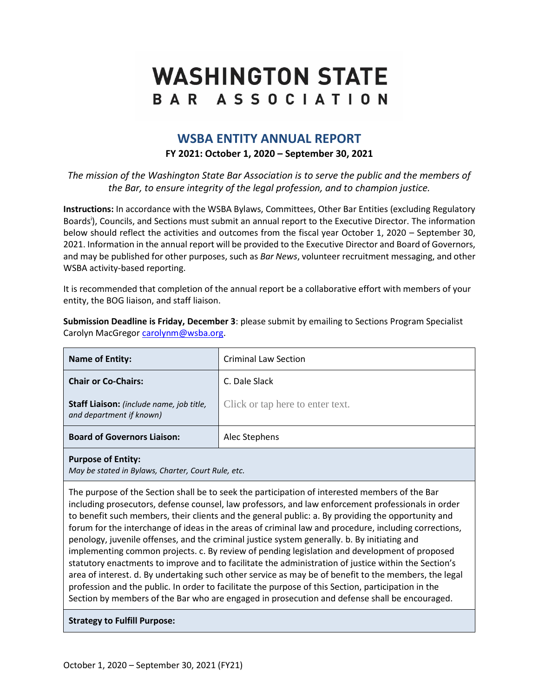# **WASHINGTON STATE** BAR ASSOCIATION

# **WSBA ENTITY ANNUAL REPORT**

# **FY 2021: October 1, 2020 – September 30, 2021**

*The mission of the Washington State Bar Association is to serve the public and the members of the Bar, to ensure integrity of the legal profession, and to champion justice.*

**Instructions:** In accordance with the WSBA Bylaws, Committees, Other Bar Entities (excluding Regulatory Boards<sup>i</sup>), Councils, and Sections must submit an annual report to the Executive Director. The information below should reflect the activities and outcomes from the fiscal year October 1, 2020 – September 30, 2021. Information in the annual report will be provided to the Executive Director and Board of Governors, and may be published for other purposes, such as *Bar News*, volunteer recruitment messaging, and other WSBA activity-based reporting.

It is recommended that completion of the annual report be a collaborative effort with members of your entity, the BOG liaison, and staff liaison.

**Submission Deadline is Friday, December 3**: please submit by emailing to Sections Program Specialist Carolyn MacGregor [carolynm@wsba.org.](mailto:carolynm@wsba.org)

| Name of Entity:                                                      | <b>Criminal Law Section</b>      |
|----------------------------------------------------------------------|----------------------------------|
| <b>Chair or Co-Chairs:</b>                                           | C. Dale Slack                    |
| Staff Liaison: (include name, job title,<br>and department if known) | Click or tap here to enter text. |
| <b>Board of Governors Liaison:</b>                                   | Alec Stephens                    |
|                                                                      |                                  |

#### **Purpose of Entity:**

*May be stated in Bylaws, Charter, Court Rule, etc.*

The purpose of the Section shall be to seek the participation of interested members of the Bar including prosecutors, defense counsel, law professors, and law enforcement professionals in order to benefit such members, their clients and the general public: a. By providing the opportunity and forum for the interchange of ideas in the areas of criminal law and procedure, including corrections, penology, juvenile offenses, and the criminal justice system generally. b. By initiating and implementing common projects. c. By review of pending legislation and development of proposed statutory enactments to improve and to facilitate the administration of justice within the Section's area of interest. d. By undertaking such other service as may be of benefit to the members, the legal profession and the public. In order to facilitate the purpose of this Section, participation in the Section by members of the Bar who are engaged in prosecution and defense shall be encouraged.

## **Strategy to Fulfill Purpose:**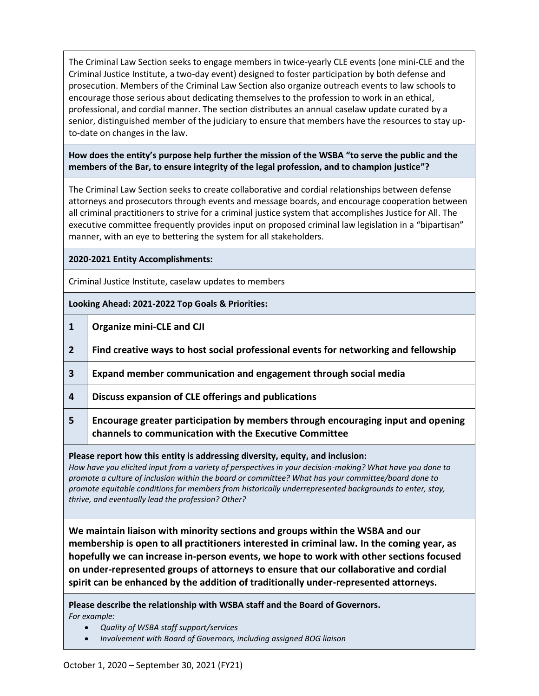The Criminal Law Section seeks to engage members in twice-yearly CLE events (one mini-CLE and the Criminal Justice Institute, a two-day event) designed to foster participation by both defense and prosecution. Members of the Criminal Law Section also organize outreach events to law schools to encourage those serious about dedicating themselves to the profession to work in an ethical, professional, and cordial manner. The section distributes an annual caselaw update curated by a senior, distinguished member of the judiciary to ensure that members have the resources to stay upto-date on changes in the law.

## **How does the entity's purpose help further the mission of the WSBA "to serve the public and the members of the Bar, to ensure integrity of the legal profession, and to champion justice"?**

The Criminal Law Section seeks to create collaborative and cordial relationships between defense attorneys and prosecutors through events and message boards, and encourage cooperation between all criminal practitioners to strive for a criminal justice system that accomplishes Justice for All. The executive committee frequently provides input on proposed criminal law legislation in a "bipartisan" manner, with an eye to bettering the system for all stakeholders.

#### **2020-2021 Entity Accomplishments:**

Criminal Justice Institute, caselaw updates to members

**Looking Ahead: 2021-2022 Top Goals & Priorities:**

- **2 Find creative ways to host social professional events for networking and fellowship**
- **3 Expand member communication and engagement through social media**
- **4 Discuss expansion of CLE offerings and publications**
- **5 Encourage greater participation by members through encouraging input and opening channels to communication with the Executive Committee**

#### **Please report how this entity is addressing diversity, equity, and inclusion:**

*How have you elicited input from a variety of perspectives in your decision-making? What have you done to promote a culture of inclusion within the board or committee? What has your committee/board done to promote equitable conditions for members from historically underrepresented backgrounds to enter, stay, thrive, and eventually lead the profession? Other?*

**We maintain liaison with minority sections and groups within the WSBA and our membership is open to all practitioners interested in criminal law. In the coming year, as hopefully we can increase in-person events, we hope to work with other sections focused on under-represented groups of attorneys to ensure that our collaborative and cordial spirit can be enhanced by the addition of traditionally under-represented attorneys.**

#### **Please describe the relationship with WSBA staff and the Board of Governors.**  *For example:*

- *Quality of WSBA staff support/services*
- *Involvement with Board of Governors, including assigned BOG liaison*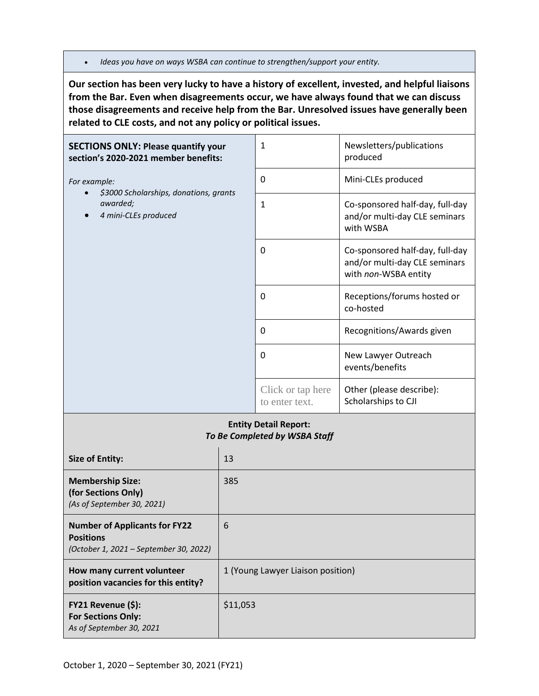• *Ideas you have on ways WSBA can continue to strengthen/support your entity.*

**Our section has been very lucky to have a history of excellent, invested, and helpful liaisons from the Bar. Even when disagreements occur, we have always found that we can discuss those disagreements and receive help from the Bar. Unresolved issues have generally been related to CLE costs, and not any policy or political issues.**

| <b>SECTIONS ONLY: Please quantify your</b><br>section's 2020-2021 member benefits: |     | $\mathbf{1}$                                                  | Newsletters/publications<br>produced                                                     |
|------------------------------------------------------------------------------------|-----|---------------------------------------------------------------|------------------------------------------------------------------------------------------|
| For example:                                                                       |     | $\mathbf 0$                                                   | Mini-CLEs produced                                                                       |
| \$3000 Scholarships, donations, grants<br>awarded;<br>4 mini-CLEs produced         |     | $\mathbf{1}$                                                  | Co-sponsored half-day, full-day<br>and/or multi-day CLE seminars<br>with WSBA            |
|                                                                                    |     | $\mathbf 0$                                                   | Co-sponsored half-day, full-day<br>and/or multi-day CLE seminars<br>with non-WSBA entity |
|                                                                                    |     | $\mathbf 0$                                                   | Receptions/forums hosted or<br>co-hosted                                                 |
|                                                                                    |     | 0                                                             | Recognitions/Awards given                                                                |
|                                                                                    |     | 0                                                             | New Lawyer Outreach<br>events/benefits                                                   |
|                                                                                    |     | Click or tap here<br>to enter text.                           | Other (please describe):<br>Scholarships to CJI                                          |
|                                                                                    |     | <b>Entity Detail Report:</b><br>To Be Completed by WSBA Staff |                                                                                          |
| <b>Size of Entity:</b>                                                             | 13  |                                                               |                                                                                          |
| <b>Membership Size:</b><br>(for Sections Only)<br>(As of September 30, 2021)       | 385 |                                                               |                                                                                          |
| <b>Number of Applicants for FY22</b>                                               | 6   |                                                               |                                                                                          |

| $\frac{1}{2}$<br><b>Positions</b><br>(October 1, 2021 – September 30, 2022) | U                                 |
|-----------------------------------------------------------------------------|-----------------------------------|
| How many current volunteer<br>position vacancies for this entity?           | 1 (Young Lawyer Liaison position) |
| FY21 Revenue (\$):<br><b>For Sections Only:</b><br>As of September 30, 2021 | \$11,053                          |